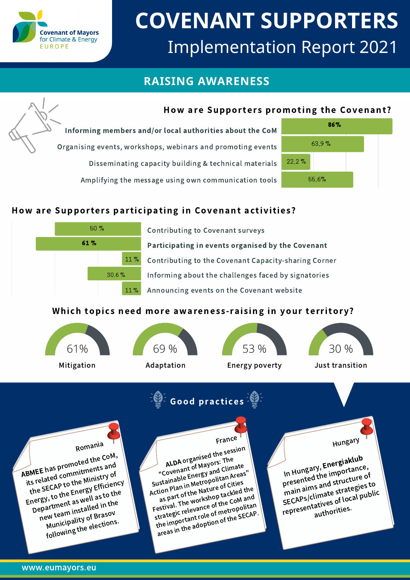

# **COVENANT SUPPORTERS** Implementation Report 2021

# **RAISING AWARENESS**

## How are Supporters promoting the Covenant?

Informing members and/or local authorities about the CoM Organising events, workshops, webinars and promoting events Disseminating capacity building & technical materials Amplifying the message using own communication tools



## How are Supporters participating in Covenant activities?



Contributing to Covenant surveys Participating in events organised by the Covenant Contributing to the Covenant Capacity-sharing Corner Informing about the challenges faced by signatories Announcing events on the Covenant website

#### Which topics need more awareness-raising in your territory?









Mitigation Adaptation Energy poverty Just transition

Hungary

In Hungary, Energiaklub presented the importance, main aims and structure of

SECAPs/climate strategies to<br>representatives of local publim<br>authorities. mallian during the strates public<br>SECAPS/climate of local public<br>representatives of local public



France

ALDA organised the session "Covenant of Mayors: The Sustainable Energy and Climate Action Plan in Metropolitan Areas" as part of the Nature of Cities Festival. The workshop tackled the strategic relevance of the CoM and the important role of metropolitan areas in the adoption of the SECAP.

Romania

ABMEE has promoted the CoM, its related commitments and the SECAP to the Ministry of Energy, to the Energy Efficiency Department as well as to the new team installed in the Municipality of Brasov tollowing the elections.

www.eumayors.eu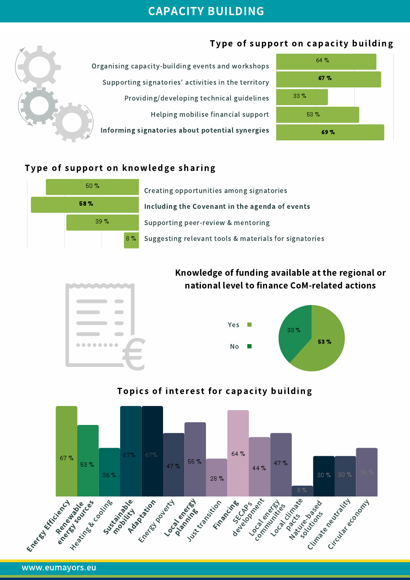# CAPACITY BUILDING

# Type of support on capacity building





### Type of support on knowledge sharing



Creating opportunities among signatories Including the Covenant in the agenda of events Supporting peer-review & mentoring 8% Suggesting relevant tools & materials for signatories

# Knowledge of funding available at the regional or national level to finance CoM-related actions





## Topics of interest for capacity building



www.eumayors.eu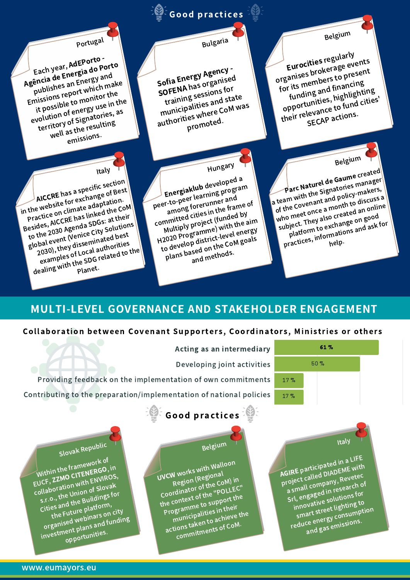# $\widehat{\mathbb{E}}$  Good practices

Bulgaria

Sofia Energy Agency -SOFENA has organised training sessions for municipalities and state authorities where CoM was promoted.

Portugal

Each year, AdEPorto -Agência de Energia do Porto publishes an Energy and Emissions report which make it possible to monitor the evolution of energy use in the territory of Signatories, as well as the resulting emissions.

Hungary

Energiaklub developed <sup>a</sup> peer-to-peer learning program among forerunner and committed cities in the frame of Multiply project (funded by H2020 Programme) with the aim to develop district-level energy plans based on the CoM goals and methods.

Italy

AICCRE has a specific section in the website for exchange of Best Practice on climate adaptation. Besides, AICCRE has linked the CoM to the 2030 Agenda SDGs: at their global event (Venice City Solutions) 2030), they disseminated best examples of Local authorities 2030), they<br>examples of Local authorities<br>dealing with the SDG related to the<br>planet.

# MULTI-LEVEL GOVERNANCE AND STAKEHOLDER ENGAGEMENT

#### Collaboration between Covenant Supporters, Coordinators, Ministries or others

|                 | 61 % |  |
|-----------------|------|--|
|                 | 50%  |  |
| 17 <sub>2</sub> |      |  |
| 17 <sub>2</sub> |      |  |

Eurocities regularly organises brokerage events for its members to present funding and financing opportunities, highlighting their relevance to fund cities' SECAP actions.

Belgium

Parc Naturel de Gaume created a team with the Signatories manager of the Covenant and policy-makers, who meet once a month to discuss a subject. They also created an online platform to exchange on good bject. They exchange one ask for<br>platform to exchange one ask for<br>practices, informations and ask for

Belgium

AGIRE participated in a LIFE project called DIADEME with <sup>a</sup> small company, Revetec Srl, engaged in research of innovative solutions for smart street lighting to reduce energy consumption and gas emissions.

Italy

Acting as an intermediary

Developing joint activities

Providing feedback on the implementation of own commitments Contributing to the preparation/implementation of national policies



Belgium

UVCW works with Walloo<sup>n</sup> Region (Regional Coordinator of the CoM) in the context of the "POLLEC" Programm<sup>e</sup> to support the municipalities in their actions taken to achieve the commitments of CoM.

Slovak Republic

Within the framework of EUCF, ZZMO CITENERGO, in collaboration with ENVIROS, s.r.o., the Union of Slovak Cities and the Buildings for the Future platform, organised webinars on city investment plans and funding opportunities.

#### www.eumayors.eu